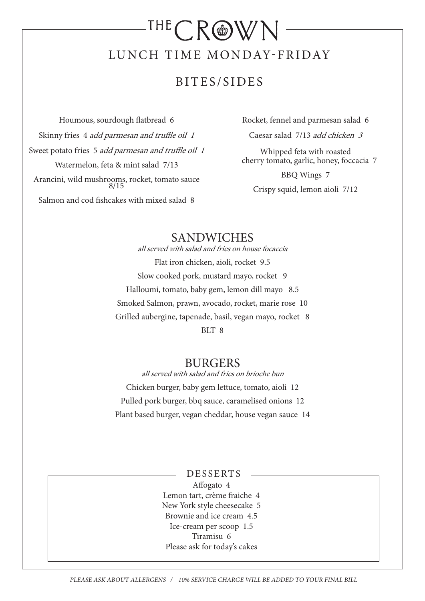# $\mathsf{THECR@WM}$ LUNCH TIME MONDAY-FRIDAY

## BITES/SIDES

Houmous, sourdough flatbread 6 Skinny fries 4 add parmesan and truffle oil 1 Sweet potato fries 5 add parmesan and truffle oil 1 Watermelon, feta & mint salad 7/13 Arancini, wild mushrooms, rocket, tomato sauce 8/15 Salmon and cod fishcakes with mixed salad 8

Rocket, fennel and parmesan salad 6

Caesar salad 7/13 add chicken 3

Whipped feta with roasted cherry tomato, garlic, honey, foccacia 7

BBQ Wings 7 Crispy squid, lemon aioli 7/12

### SANDWICHES

all served with salad and fries on house focaccia Flat iron chicken, aioli, rocket 9.5 Slow cooked pork, mustard mayo, rocket 9 Halloumi, tomato, baby gem, lemon dill mayo 8.5 Smoked Salmon, prawn, avocado, rocket, marie rose 10 Grilled aubergine, tapenade, basil, vegan mayo, rocket 8 BLT 8

#### **BURGERS**

all served with salad and fries on brioche bun Chicken burger, baby gem lettuce, tomato, aioli 12 Pulled pork burger, bbq sauce, caramelised onions 12 Plant based burger, vegan cheddar, house vegan sauce 14

#### DESSERTS

Affogato 4 Lemon tart, crème fraiche 4 New York style cheesecake 5 Brownie and ice cream 4.5 Ice-cream per scoop 1.5 Tiramisu 6 Please ask for today's cakes